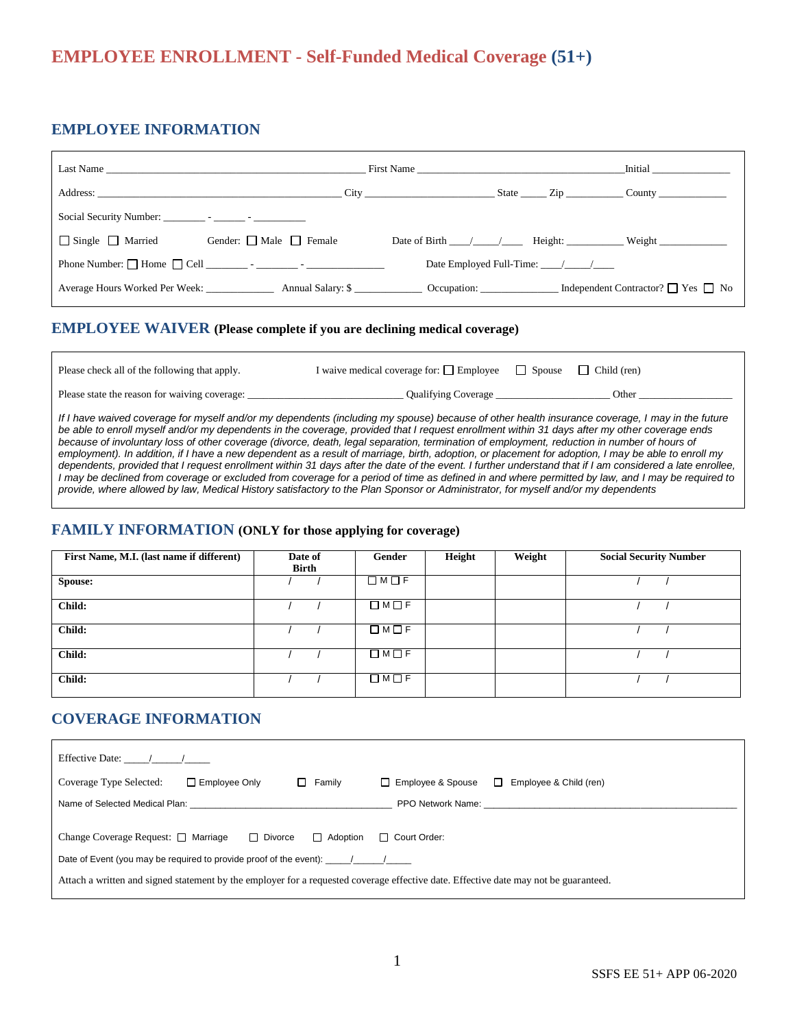# **EMPLOYEE ENROLLMENT - Self-Funded Medical Coverage (51+)**

## **EMPLOYEE INFORMATION**

|                              | Last Name                                                                                       | First Name                        | <b>Initial</b>                                 |
|------------------------------|-------------------------------------------------------------------------------------------------|-----------------------------------|------------------------------------------------|
|                              | Address: City City City                                                                         |                                   | State Zip County                               |
|                              |                                                                                                 |                                   |                                                |
| $\Box$ Single $\Box$ Married | Gender: $\Box$ Male $\Box$ Female                                                               |                                   | Date of Birth $\angle$ $\angle$ Height: Weight |
|                              | Phone Number: $\Box$ Home $\Box$ Cell $\Box$ - $\Box$                                           | Date Employed Full-Time: $\angle$ |                                                |
|                              | Average Hours Worked Per Week: Annual Salary: \$ Cocupation: Independent Contractor? The Yes No |                                   |                                                |

### **EMPLOYEE WAIVER (Please complete if you are declining medical coverage)**

| Please check all of the following that apply. | I waive medical coverage for: $\Box$ Employee | Spouse | Child (ren) |  |
|-----------------------------------------------|-----------------------------------------------|--------|-------------|--|
| Please state the reason for waiving coverage: | Qualifying Coverage                           |        | Other       |  |

*If I have waived coverage for myself and/or my dependents (including my spouse) because of other health insurance coverage, I may in the future be able to enroll myself and/or my dependents in the coverage, provided that I request enrollment within 31 days after my other coverage ends because of involuntary loss of other coverage (divorce, death, legal separation, termination of employment, reduction in number of hours of employment). In addition, if I have a new dependent as a result of marriage, birth, adoption, or placement for adoption, I may be able to enroll my dependents, provided that I request enrollment within 31 days after the date of the event. I further understand that if I am considered a late enrollee, I may be declined from coverage or excluded from coverage for a period of time as defined in and where permitted by law, and I may be required to provide, where allowed by law, Medical History satisfactory to the Plan Sponsor or Administrator, for myself and/or my dependents*

#### **FAMILY INFORMATION (ONLY for those applying for coverage)**

| First Name, M.I. (last name if different) | Date of<br><b>Birth</b> | Gender                  | Height | Weight | <b>Social Security Number</b> |
|-------------------------------------------|-------------------------|-------------------------|--------|--------|-------------------------------|
| Spouse:                                   |                         | $\Box M \Box F$         |        |        |                               |
| Child:                                    |                         | $\square$ M $\square$ F |        |        |                               |
| Child:                                    |                         | $\Box M \Box F$         |        |        |                               |
| Child:                                    |                         | $\Box M \Box F$         |        |        |                               |
| Child:                                    |                         | $\square$ M $\square$ F |        |        |                               |

## **COVERAGE INFORMATION**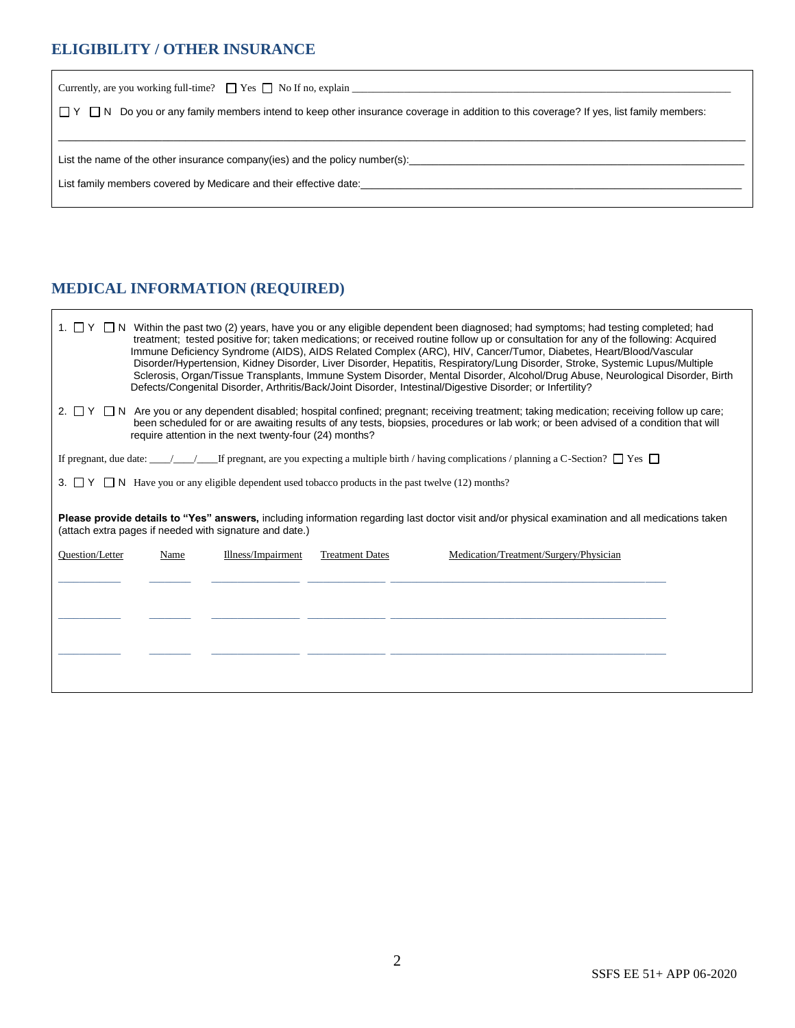## **ELIGIBILITY / OTHER INSURANCE**

| $\Box$ Y $\Box$ N Do you or any family members intend to keep other insurance coverage in addition to this coverage? If yes, list family members: |  |  |  |  |  |
|---------------------------------------------------------------------------------------------------------------------------------------------------|--|--|--|--|--|
|                                                                                                                                                   |  |  |  |  |  |
| List the name of the other insurance company(ies) and the policy number(s): __________________________________                                    |  |  |  |  |  |
| List family members covered by Medicare and their effective date:                                                                                 |  |  |  |  |  |
|                                                                                                                                                   |  |  |  |  |  |

## **MEDICAL INFORMATION (REQUIRED)**

| 1. $\Box$ Y $\Box$ N Within the past two (2) years, have you or any eligible dependent been diagnosed; had symptoms; had testing completed; had<br>treatment; tested positive for; taken medications; or received routine follow up or consultation for any of the following: Acquired<br>Immune Deficiency Syndrome (AIDS), AIDS Related Complex (ARC), HIV, Cancer/Tumor, Diabetes, Heart/Blood/Vascular<br>Disorder/Hypertension, Kidney Disorder, Liver Disorder, Hepatitis, Respiratory/Lung Disorder, Stroke, Systemic Lupus/Multiple<br>Sclerosis, Organ/Tissue Transplants, Immune System Disorder, Mental Disorder, Alcohol/Drug Abuse, Neurological Disorder, Birth<br>Defects/Congenital Disorder, Arthritis/Back/Joint Disorder, Intestinal/Digestive Disorder; or Infertility?<br>2. $\Box$ Y $\Box$ N Are you or any dependent disabled; hospital confined; pregnant; receiving treatment; taking medication; receiving follow up care;<br>been scheduled for or are awaiting results of any tests, biopsies, procedures or lab work; or been advised of a condition that will<br>require attention in the next twenty-four (24) months?<br>If pregnant, due date: $\frac{1}{\sqrt{1-\frac{1}{\sqrt{1-\frac{1}{\sqrt{1-\frac{1}{\sqrt{1-\frac{1}{\sqrt{1-\frac{1}{\sqrt{1-\frac{1}{\sqrt{1-\frac{1}{\sqrt{1-\frac{1}{\sqrt{1-\frac{1}{\sqrt{1-\frac{1}{\sqrt{1-\frac{1}{\sqrt{1-\frac{1}{\sqrt{1-\frac{1}{\sqrt{1-\frac{1}{\sqrt{1-\frac{1}{\sqrt{1-\frac{1}{\sqrt{1-\frac{1}{\sqrt{1-\frac{1}{\sqrt{1-\frac{1}{\sqrt{1-\frac{1}{\sqrt{1-\frac{1}{\sqrt{$<br>3. $\Box$ Y $\Box$ N Have you or any eligible dependent used tobacco products in the past twelve (12) months?<br>Please provide details to "Yes" answers, including information regarding last doctor visit and/or physical examination and all medications taken<br>(attach extra pages if needed with signature and date.)<br>Medication/Treatment/Surgery/Physician<br>Question/Letter<br>Illness/Impairment<br><b>Treatment Dates</b><br>Name |  |  |  |  |  |  |
|------------------------------------------------------------------------------------------------------------------------------------------------------------------------------------------------------------------------------------------------------------------------------------------------------------------------------------------------------------------------------------------------------------------------------------------------------------------------------------------------------------------------------------------------------------------------------------------------------------------------------------------------------------------------------------------------------------------------------------------------------------------------------------------------------------------------------------------------------------------------------------------------------------------------------------------------------------------------------------------------------------------------------------------------------------------------------------------------------------------------------------------------------------------------------------------------------------------------------------------------------------------------------------------------------------------------------------------------------------------------------------------------------------------------------------------------------------------------------------------------------------------------------------------------------------------------------------------------------------------------------------------------------------------------------------------------------------------------------------------------------------------------------------------------------------------------------------------------------------------------------------------------------------------------------------------------------------------------------------------------------------------------------|--|--|--|--|--|--|
|                                                                                                                                                                                                                                                                                                                                                                                                                                                                                                                                                                                                                                                                                                                                                                                                                                                                                                                                                                                                                                                                                                                                                                                                                                                                                                                                                                                                                                                                                                                                                                                                                                                                                                                                                                                                                                                                                                                                                                                                                              |  |  |  |  |  |  |
|                                                                                                                                                                                                                                                                                                                                                                                                                                                                                                                                                                                                                                                                                                                                                                                                                                                                                                                                                                                                                                                                                                                                                                                                                                                                                                                                                                                                                                                                                                                                                                                                                                                                                                                                                                                                                                                                                                                                                                                                                              |  |  |  |  |  |  |
|                                                                                                                                                                                                                                                                                                                                                                                                                                                                                                                                                                                                                                                                                                                                                                                                                                                                                                                                                                                                                                                                                                                                                                                                                                                                                                                                                                                                                                                                                                                                                                                                                                                                                                                                                                                                                                                                                                                                                                                                                              |  |  |  |  |  |  |
|                                                                                                                                                                                                                                                                                                                                                                                                                                                                                                                                                                                                                                                                                                                                                                                                                                                                                                                                                                                                                                                                                                                                                                                                                                                                                                                                                                                                                                                                                                                                                                                                                                                                                                                                                                                                                                                                                                                                                                                                                              |  |  |  |  |  |  |
|                                                                                                                                                                                                                                                                                                                                                                                                                                                                                                                                                                                                                                                                                                                                                                                                                                                                                                                                                                                                                                                                                                                                                                                                                                                                                                                                                                                                                                                                                                                                                                                                                                                                                                                                                                                                                                                                                                                                                                                                                              |  |  |  |  |  |  |
|                                                                                                                                                                                                                                                                                                                                                                                                                                                                                                                                                                                                                                                                                                                                                                                                                                                                                                                                                                                                                                                                                                                                                                                                                                                                                                                                                                                                                                                                                                                                                                                                                                                                                                                                                                                                                                                                                                                                                                                                                              |  |  |  |  |  |  |
|                                                                                                                                                                                                                                                                                                                                                                                                                                                                                                                                                                                                                                                                                                                                                                                                                                                                                                                                                                                                                                                                                                                                                                                                                                                                                                                                                                                                                                                                                                                                                                                                                                                                                                                                                                                                                                                                                                                                                                                                                              |  |  |  |  |  |  |
|                                                                                                                                                                                                                                                                                                                                                                                                                                                                                                                                                                                                                                                                                                                                                                                                                                                                                                                                                                                                                                                                                                                                                                                                                                                                                                                                                                                                                                                                                                                                                                                                                                                                                                                                                                                                                                                                                                                                                                                                                              |  |  |  |  |  |  |
|                                                                                                                                                                                                                                                                                                                                                                                                                                                                                                                                                                                                                                                                                                                                                                                                                                                                                                                                                                                                                                                                                                                                                                                                                                                                                                                                                                                                                                                                                                                                                                                                                                                                                                                                                                                                                                                                                                                                                                                                                              |  |  |  |  |  |  |
|                                                                                                                                                                                                                                                                                                                                                                                                                                                                                                                                                                                                                                                                                                                                                                                                                                                                                                                                                                                                                                                                                                                                                                                                                                                                                                                                                                                                                                                                                                                                                                                                                                                                                                                                                                                                                                                                                                                                                                                                                              |  |  |  |  |  |  |
|                                                                                                                                                                                                                                                                                                                                                                                                                                                                                                                                                                                                                                                                                                                                                                                                                                                                                                                                                                                                                                                                                                                                                                                                                                                                                                                                                                                                                                                                                                                                                                                                                                                                                                                                                                                                                                                                                                                                                                                                                              |  |  |  |  |  |  |
|                                                                                                                                                                                                                                                                                                                                                                                                                                                                                                                                                                                                                                                                                                                                                                                                                                                                                                                                                                                                                                                                                                                                                                                                                                                                                                                                                                                                                                                                                                                                                                                                                                                                                                                                                                                                                                                                                                                                                                                                                              |  |  |  |  |  |  |
|                                                                                                                                                                                                                                                                                                                                                                                                                                                                                                                                                                                                                                                                                                                                                                                                                                                                                                                                                                                                                                                                                                                                                                                                                                                                                                                                                                                                                                                                                                                                                                                                                                                                                                                                                                                                                                                                                                                                                                                                                              |  |  |  |  |  |  |